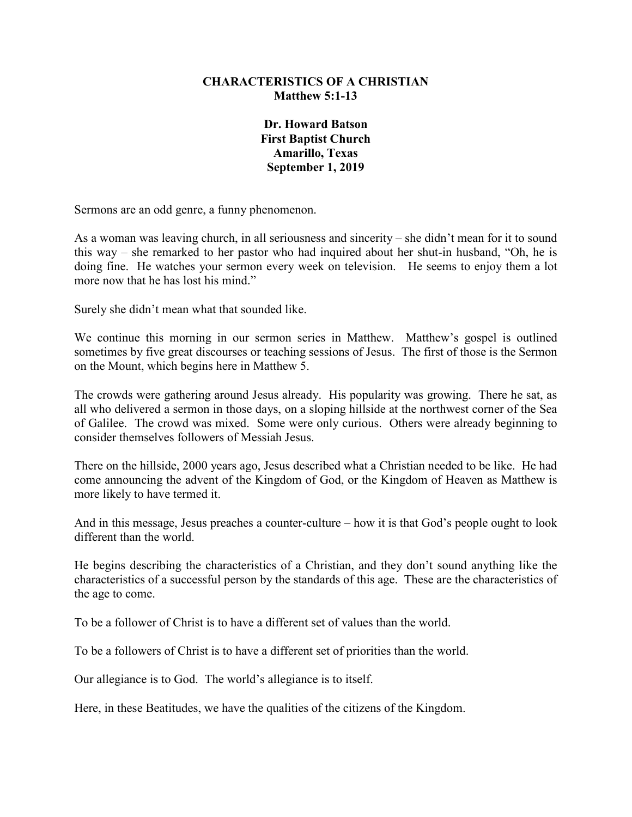## **CHARACTERISTICS OF A CHRISTIAN Matthew 5:1-13**

**Dr. Howard Batson First Baptist Church Amarillo, Texas September 1, 2019**

Sermons are an odd genre, a funny phenomenon.

As a woman was leaving church, in all seriousness and sincerity – she didn't mean for it to sound this way – she remarked to her pastor who had inquired about her shut-in husband, "Oh, he is doing fine. He watches your sermon every week on television. He seems to enjoy them a lot more now that he has lost his mind."

Surely she didn't mean what that sounded like.

We continue this morning in our sermon series in Matthew. Matthew's gospel is outlined sometimes by five great discourses or teaching sessions of Jesus. The first of those is the Sermon on the Mount, which begins here in Matthew 5.

The crowds were gathering around Jesus already. His popularity was growing. There he sat, as all who delivered a sermon in those days, on a sloping hillside at the northwest corner of the Sea of Galilee. The crowd was mixed. Some were only curious. Others were already beginning to consider themselves followers of Messiah Jesus.

There on the hillside, 2000 years ago, Jesus described what a Christian needed to be like. He had come announcing the advent of the Kingdom of God, or the Kingdom of Heaven as Matthew is more likely to have termed it.

And in this message, Jesus preaches a counter-culture – how it is that God's people ought to look different than the world.

He begins describing the characteristics of a Christian, and they don't sound anything like the characteristics of a successful person by the standards of this age. These are the characteristics of the age to come.

To be a follower of Christ is to have a different set of values than the world.

To be a followers of Christ is to have a different set of priorities than the world.

Our allegiance is to God. The world's allegiance is to itself.

Here, in these Beatitudes, we have the qualities of the citizens of the Kingdom.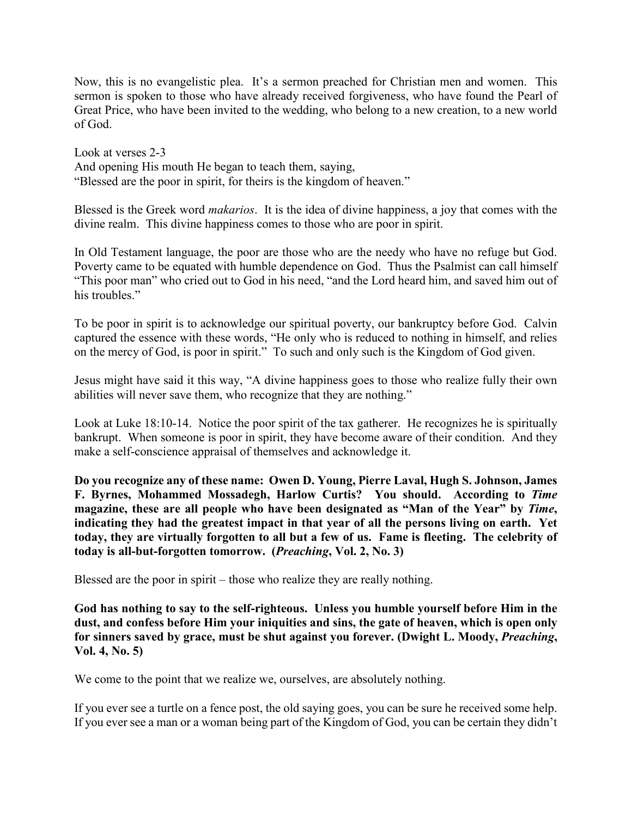Now, this is no evangelistic plea. It's a sermon preached for Christian men and women. This sermon is spoken to those who have already received forgiveness, who have found the Pearl of Great Price, who have been invited to the wedding, who belong to a new creation, to a new world of God.

Look at verses 2-3 And opening His mouth He began to teach them, saying, "Blessed are the poor in spirit, for theirs is the kingdom of heaven."

Blessed is the Greek word *makarios*. It is the idea of divine happiness, a joy that comes with the divine realm. This divine happiness comes to those who are poor in spirit.

In Old Testament language, the poor are those who are the needy who have no refuge but God. Poverty came to be equated with humble dependence on God. Thus the Psalmist can call himself "This poor man" who cried out to God in his need, "and the Lord heard him, and saved him out of his troubles."

To be poor in spirit is to acknowledge our spiritual poverty, our bankruptcy before God. Calvin captured the essence with these words, "He only who is reduced to nothing in himself, and relies on the mercy of God, is poor in spirit." To such and only such is the Kingdom of God given.

Jesus might have said it this way, "A divine happiness goes to those who realize fully their own abilities will never save them, who recognize that they are nothing."

Look at Luke 18:10-14. Notice the poor spirit of the tax gatherer. He recognizes he is spiritually bankrupt. When someone is poor in spirit, they have become aware of their condition. And they make a self-conscience appraisal of themselves and acknowledge it.

**Do you recognize any of these name: Owen D. Young, Pierre Laval, Hugh S. Johnson, James F. Byrnes, Mohammed Mossadegh, Harlow Curtis? You should. According to** *Time* **magazine, these are all people who have been designated as "Man of the Year" by** *Time***, indicating they had the greatest impact in that year of all the persons living on earth. Yet today, they are virtually forgotten to all but a few of us. Fame is fleeting. The celebrity of today is all-but-forgotten tomorrow. (***Preaching***, Vol. 2, No. 3)**

Blessed are the poor in spirit – those who realize they are really nothing.

**God has nothing to say to the self-righteous. Unless you humble yourself before Him in the dust, and confess before Him your iniquities and sins, the gate of heaven, which is open only for sinners saved by grace, must be shut against you forever. (Dwight L. Moody,** *Preaching***, Vol. 4, No. 5)**

We come to the point that we realize we, ourselves, are absolutely nothing.

If you ever see a turtle on a fence post, the old saying goes, you can be sure he received some help. If you ever see a man or a woman being part of the Kingdom of God, you can be certain they didn't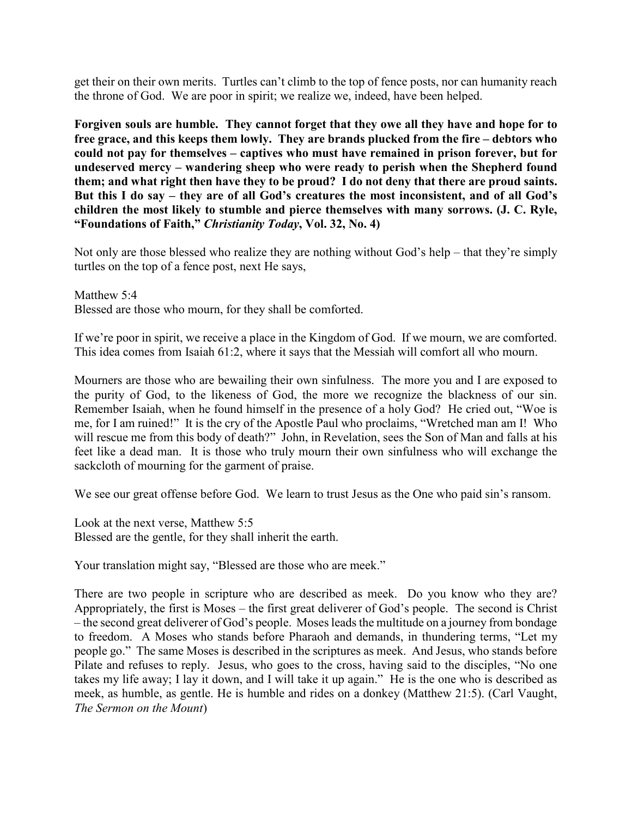get their on their own merits. Turtles can't climb to the top of fence posts, nor can humanity reach the throne of God. We are poor in spirit; we realize we, indeed, have been helped.

**Forgiven souls are humble. They cannot forget that they owe all they have and hope for to free grace, and this keeps them lowly. They are brands plucked from the fire – debtors who could not pay for themselves – captives who must have remained in prison forever, but for undeserved mercy – wandering sheep who were ready to perish when the Shepherd found them; and what right then have they to be proud? I do not deny that there are proud saints. But this I do say – they are of all God's creatures the most inconsistent, and of all God's children the most likely to stumble and pierce themselves with many sorrows. (J. C. Ryle, "Foundations of Faith,"** *Christianity Today***, Vol. 32, No. 4)**

Not only are those blessed who realize they are nothing without God's help – that they're simply turtles on the top of a fence post, next He says,

Matthew 5:4 Blessed are those who mourn, for they shall be comforted.

If we're poor in spirit, we receive a place in the Kingdom of God. If we mourn, we are comforted. This idea comes from Isaiah 61:2, where it says that the Messiah will comfort all who mourn.

Mourners are those who are bewailing their own sinfulness. The more you and I are exposed to the purity of God, to the likeness of God, the more we recognize the blackness of our sin. Remember Isaiah, when he found himself in the presence of a holy God? He cried out, "Woe is me, for I am ruined!" It is the cry of the Apostle Paul who proclaims, "Wretched man am I! Who will rescue me from this body of death?" John, in Revelation, sees the Son of Man and falls at his feet like a dead man. It is those who truly mourn their own sinfulness who will exchange the sackcloth of mourning for the garment of praise.

We see our great offense before God. We learn to trust Jesus as the One who paid sin's ransom.

Look at the next verse, Matthew 5:5 Blessed are the gentle, for they shall inherit the earth.

Your translation might say, "Blessed are those who are meek."

There are two people in scripture who are described as meek. Do you know who they are? Appropriately, the first is Moses – the first great deliverer of God's people. The second is Christ – the second great deliverer of God's people. Moses leads the multitude on a journey from bondage to freedom. A Moses who stands before Pharaoh and demands, in thundering terms, "Let my people go." The same Moses is described in the scriptures as meek. And Jesus, who stands before Pilate and refuses to reply. Jesus, who goes to the cross, having said to the disciples, "No one takes my life away; I lay it down, and I will take it up again." He is the one who is described as meek, as humble, as gentle. He is humble and rides on a donkey (Matthew 21:5). (Carl Vaught, *The Sermon on the Mount*)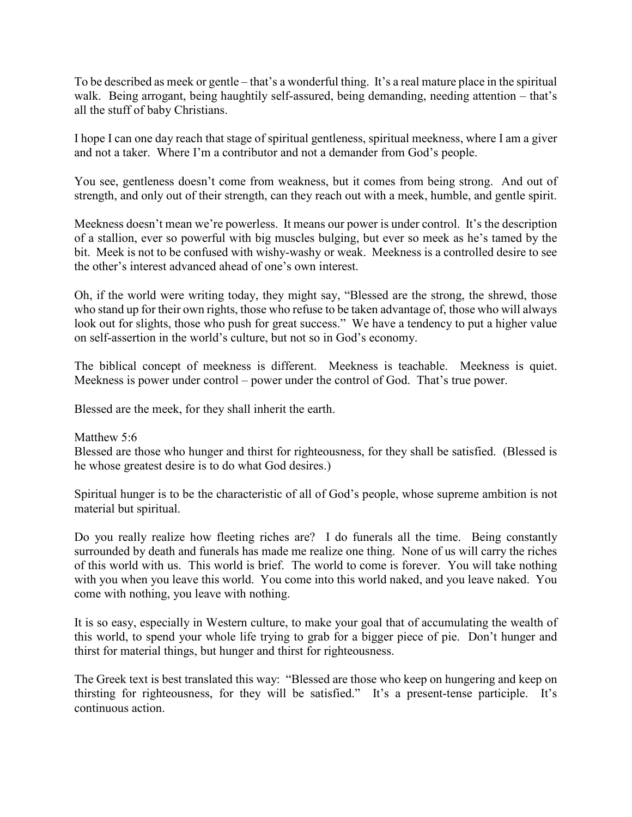To be described as meek or gentle – that's a wonderful thing. It's a real mature place in the spiritual walk. Being arrogant, being haughtily self-assured, being demanding, needing attention – that's all the stuff of baby Christians.

I hope I can one day reach that stage of spiritual gentleness, spiritual meekness, where I am a giver and not a taker. Where I'm a contributor and not a demander from God's people.

You see, gentleness doesn't come from weakness, but it comes from being strong. And out of strength, and only out of their strength, can they reach out with a meek, humble, and gentle spirit.

Meekness doesn't mean we're powerless. It means our power is under control. It's the description of a stallion, ever so powerful with big muscles bulging, but ever so meek as he's tamed by the bit. Meek is not to be confused with wishy-washy or weak. Meekness is a controlled desire to see the other's interest advanced ahead of one's own interest.

Oh, if the world were writing today, they might say, "Blessed are the strong, the shrewd, those who stand up for their own rights, those who refuse to be taken advantage of, those who will always look out for slights, those who push for great success." We have a tendency to put a higher value on self-assertion in the world's culture, but not so in God's economy.

The biblical concept of meekness is different. Meekness is teachable. Meekness is quiet. Meekness is power under control – power under the control of God. That's true power.

Blessed are the meek, for they shall inherit the earth.

Matthew 5:6 Blessed are those who hunger and thirst for righteousness, for they shall be satisfied. (Blessed is he whose greatest desire is to do what God desires.)

Spiritual hunger is to be the characteristic of all of God's people, whose supreme ambition is not material but spiritual.

Do you really realize how fleeting riches are? I do funerals all the time. Being constantly surrounded by death and funerals has made me realize one thing. None of us will carry the riches of this world with us. This world is brief. The world to come is forever. You will take nothing with you when you leave this world. You come into this world naked, and you leave naked. You come with nothing, you leave with nothing.

It is so easy, especially in Western culture, to make your goal that of accumulating the wealth of this world, to spend your whole life trying to grab for a bigger piece of pie. Don't hunger and thirst for material things, but hunger and thirst for righteousness.

The Greek text is best translated this way: "Blessed are those who keep on hungering and keep on thirsting for righteousness, for they will be satisfied." It's a present-tense participle. It's continuous action.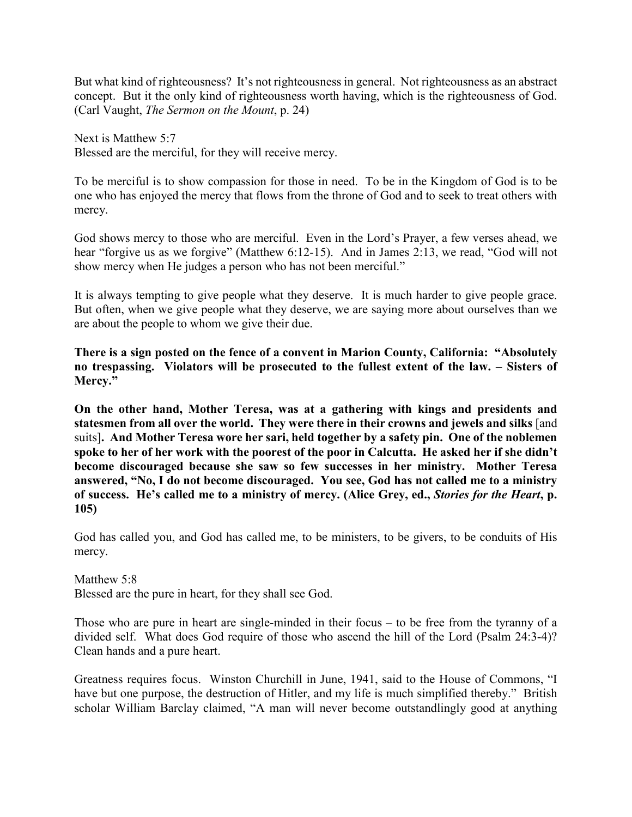But what kind of righteousness? It's not righteousness in general. Not righteousness as an abstract concept. But it the only kind of righteousness worth having, which is the righteousness of God. (Carl Vaught, *The Sermon on the Mount*, p. 24)

Next is Matthew 5:7 Blessed are the merciful, for they will receive mercy.

To be merciful is to show compassion for those in need. To be in the Kingdom of God is to be one who has enjoyed the mercy that flows from the throne of God and to seek to treat others with mercy.

God shows mercy to those who are merciful. Even in the Lord's Prayer, a few verses ahead, we hear "forgive us as we forgive" (Matthew 6:12-15). And in James 2:13, we read, "God will not show mercy when He judges a person who has not been merciful."

It is always tempting to give people what they deserve. It is much harder to give people grace. But often, when we give people what they deserve, we are saying more about ourselves than we are about the people to whom we give their due.

**There is a sign posted on the fence of a convent in Marion County, California: "Absolutely no trespassing. Violators will be prosecuted to the fullest extent of the law. – Sisters of Mercy."**

**On the other hand, Mother Teresa, was at a gathering with kings and presidents and statesmen from all over the world. They were there in their crowns and jewels and silks** [and suits]**. And Mother Teresa wore her sari, held together by a safety pin. One of the noblemen spoke to her of her work with the poorest of the poor in Calcutta. He asked her if she didn't become discouraged because she saw so few successes in her ministry. Mother Teresa answered, "No, I do not become discouraged. You see, God has not called me to a ministry of success. He's called me to a ministry of mercy. (Alice Grey, ed.,** *Stories for the Heart***, p. 105)**

God has called you, and God has called me, to be ministers, to be givers, to be conduits of His mercy.

Matthew 5:8 Blessed are the pure in heart, for they shall see God.

Those who are pure in heart are single-minded in their focus – to be free from the tyranny of a divided self. What does God require of those who ascend the hill of the Lord (Psalm 24:3-4)? Clean hands and a pure heart.

Greatness requires focus. Winston Churchill in June, 1941, said to the House of Commons, "I have but one purpose, the destruction of Hitler, and my life is much simplified thereby." British scholar William Barclay claimed, "A man will never become outstandlingly good at anything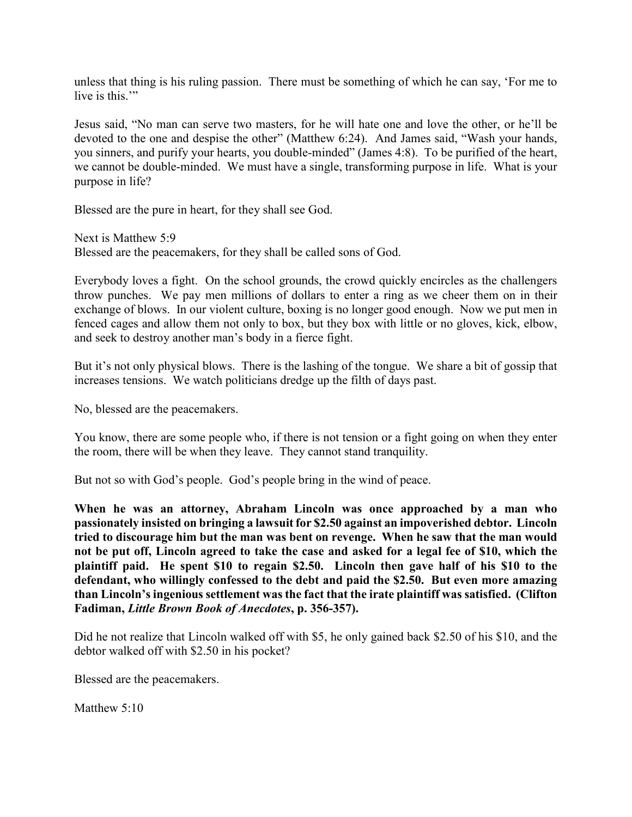unless that thing is his ruling passion. There must be something of which he can say, 'For me to live is this."

Jesus said, "No man can serve two masters, for he will hate one and love the other, or he'll be devoted to the one and despise the other" (Matthew 6:24). And James said, "Wash your hands, you sinners, and purify your hearts, you double-minded" (James 4:8). To be purified of the heart, we cannot be double-minded. We must have a single, transforming purpose in life. What is your purpose in life?

Blessed are the pure in heart, for they shall see God.

Next is Matthew 5:9 Blessed are the peacemakers, for they shall be called sons of God.

Everybody loves a fight. On the school grounds, the crowd quickly encircles as the challengers throw punches. We pay men millions of dollars to enter a ring as we cheer them on in their exchange of blows. In our violent culture, boxing is no longer good enough. Now we put men in fenced cages and allow them not only to box, but they box with little or no gloves, kick, elbow, and seek to destroy another man's body in a fierce fight.

But it's not only physical blows. There is the lashing of the tongue. We share a bit of gossip that increases tensions. We watch politicians dredge up the filth of days past.

No, blessed are the peacemakers.

You know, there are some people who, if there is not tension or a fight going on when they enter the room, there will be when they leave. They cannot stand tranquility.

But not so with God's people. God's people bring in the wind of peace.

**When he was an attorney, Abraham Lincoln was once approached by a man who passionately insisted on bringing a lawsuit for \$2.50 against an impoverished debtor. Lincoln tried to discourage him but the man was bent on revenge. When he saw that the man would not be put off, Lincoln agreed to take the case and asked for a legal fee of \$10, which the plaintiff paid. He spent \$10 to regain \$2.50. Lincoln then gave half of his \$10 to the defendant, who willingly confessed to the debt and paid the \$2.50. But even more amazing than Lincoln's ingenious settlement was the fact that the irate plaintiff was satisfied. (Clifton Fadiman,** *Little Brown Book of Anecdotes***, p. 356-357).**

Did he not realize that Lincoln walked off with \$5, he only gained back \$2.50 of his \$10, and the debtor walked off with \$2.50 in his pocket?

Blessed are the peacemakers.

Matthew 5:10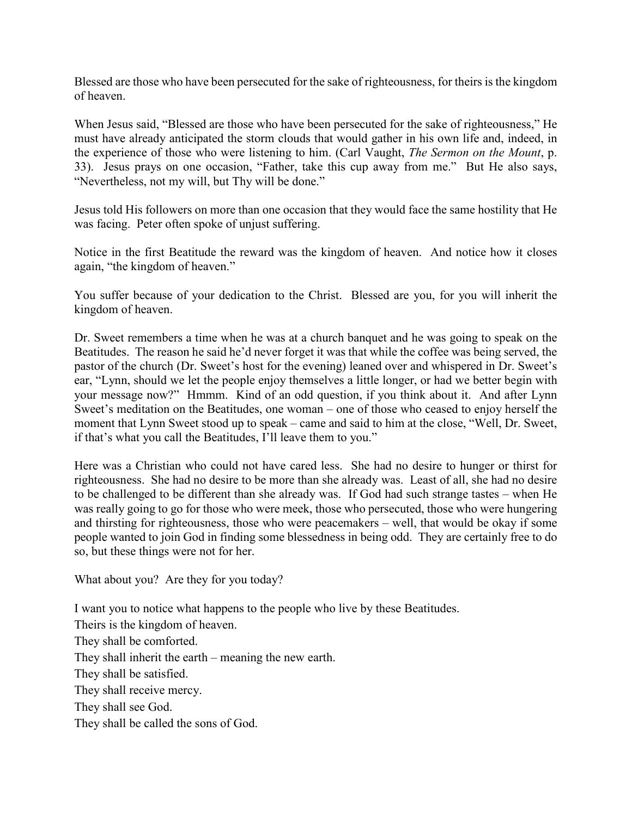Blessed are those who have been persecuted for the sake of righteousness, for theirs is the kingdom of heaven.

When Jesus said, "Blessed are those who have been persecuted for the sake of righteousness," He must have already anticipated the storm clouds that would gather in his own life and, indeed, in the experience of those who were listening to him. (Carl Vaught, *The Sermon on the Mount*, p. 33). Jesus prays on one occasion, "Father, take this cup away from me." But He also says, "Nevertheless, not my will, but Thy will be done."

Jesus told His followers on more than one occasion that they would face the same hostility that He was facing. Peter often spoke of unjust suffering.

Notice in the first Beatitude the reward was the kingdom of heaven. And notice how it closes again, "the kingdom of heaven."

You suffer because of your dedication to the Christ. Blessed are you, for you will inherit the kingdom of heaven.

Dr. Sweet remembers a time when he was at a church banquet and he was going to speak on the Beatitudes. The reason he said he'd never forget it was that while the coffee was being served, the pastor of the church (Dr. Sweet's host for the evening) leaned over and whispered in Dr. Sweet's ear, "Lynn, should we let the people enjoy themselves a little longer, or had we better begin with your message now?" Hmmm. Kind of an odd question, if you think about it. And after Lynn Sweet's meditation on the Beatitudes, one woman – one of those who ceased to enjoy herself the moment that Lynn Sweet stood up to speak – came and said to him at the close, "Well, Dr. Sweet, if that's what you call the Beatitudes, I'll leave them to you."

Here was a Christian who could not have cared less. She had no desire to hunger or thirst for righteousness. She had no desire to be more than she already was. Least of all, she had no desire to be challenged to be different than she already was. If God had such strange tastes – when He was really going to go for those who were meek, those who persecuted, those who were hungering and thirsting for righteousness, those who were peacemakers – well, that would be okay if some people wanted to join God in finding some blessedness in being odd. They are certainly free to do so, but these things were not for her.

What about you? Are they for you today?

I want you to notice what happens to the people who live by these Beatitudes.

Theirs is the kingdom of heaven. They shall be comforted. They shall inherit the earth – meaning the new earth. They shall be satisfied. They shall receive mercy. They shall see God. They shall be called the sons of God.